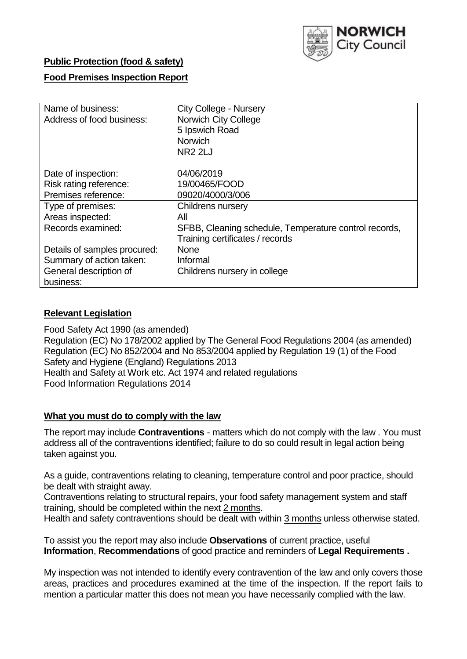

## **Public Protection (food & safety)**

### **Food Premises Inspection Report**

| Name of business:<br>Address of food business: | <b>City College - Nursery</b><br><b>Norwich City College</b><br>5 Ipswich Road<br><b>Norwich</b> |  |  |  |  |
|------------------------------------------------|--------------------------------------------------------------------------------------------------|--|--|--|--|
|                                                | <b>NR2 2LJ</b>                                                                                   |  |  |  |  |
| Date of inspection:                            | 04/06/2019                                                                                       |  |  |  |  |
| Risk rating reference:                         | 19/00465/FOOD                                                                                    |  |  |  |  |
| Premises reference:                            | 09020/4000/3/006                                                                                 |  |  |  |  |
| Type of premises:                              | <b>Childrens nursery</b>                                                                         |  |  |  |  |
| Areas inspected:                               | All                                                                                              |  |  |  |  |
| Records examined:                              | SFBB, Cleaning schedule, Temperature control records,                                            |  |  |  |  |
|                                                | Training certificates / records                                                                  |  |  |  |  |
| Details of samples procured:                   | <b>None</b>                                                                                      |  |  |  |  |
| Summary of action taken:                       | Informal                                                                                         |  |  |  |  |
| General description of                         | Childrens nursery in college                                                                     |  |  |  |  |
| business:                                      |                                                                                                  |  |  |  |  |

### **Relevant Legislation**

Food Safety Act 1990 (as amended) Regulation (EC) No 178/2002 applied by The General Food Regulations 2004 (as amended) Regulation (EC) No 852/2004 and No 853/2004 applied by Regulation 19 (1) of the Food Safety and Hygiene (England) Regulations 2013 Health and Safety at Work etc. Act 1974 and related regulations Food Information Regulations 2014

### **What you must do to comply with the law**

The report may include **Contraventions** - matters which do not comply with the law . You must address all of the contraventions identified; failure to do so could result in legal action being taken against you.

As a guide, contraventions relating to cleaning, temperature control and poor practice, should be dealt with straight away.

Contraventions relating to structural repairs, your food safety management system and staff training, should be completed within the next 2 months.

Health and safety contraventions should be dealt with within 3 months unless otherwise stated.

To assist you the report may also include **Observations** of current practice, useful **Information**, **Recommendations** of good practice and reminders of **Legal Requirements .**

My inspection was not intended to identify every contravention of the law and only covers those areas, practices and procedures examined at the time of the inspection. If the report fails to mention a particular matter this does not mean you have necessarily complied with the law.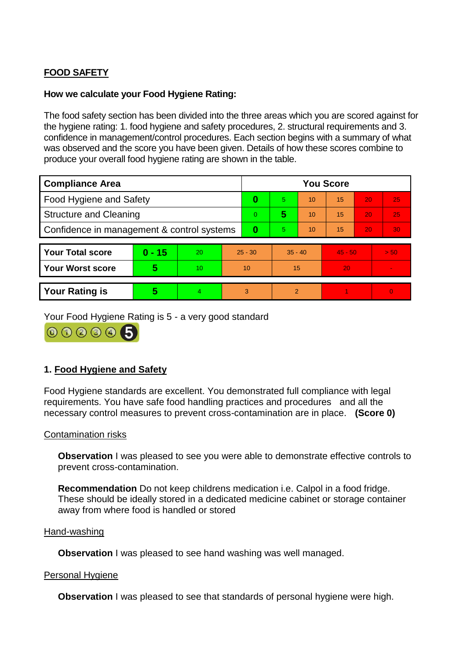# **FOOD SAFETY**

### **How we calculate your Food Hygiene Rating:**

The food safety section has been divided into the three areas which you are scored against for the hygiene rating: 1. food hygiene and safety procedures, 2. structural requirements and 3. confidence in management/control procedures. Each section begins with a summary of what was observed and the score you have been given. Details of how these scores combine to produce your overall food hygiene rating are shown in the table.

| <b>Compliance Area</b>                     |          |    |           | <b>You Score</b> |                |    |           |    |          |  |  |
|--------------------------------------------|----------|----|-----------|------------------|----------------|----|-----------|----|----------|--|--|
| Food Hygiene and Safety                    |          |    | 0         | 5                | 10             | 15 | 20        | 25 |          |  |  |
| <b>Structure and Cleaning</b>              |          |    | $\Omega$  | 5                | 10             | 15 | 20        | 25 |          |  |  |
| Confidence in management & control systems |          |    | 0         | 5                | 10             | 15 | 20        | 30 |          |  |  |
|                                            |          |    |           |                  |                |    |           |    |          |  |  |
| <b>Your Total score</b>                    | $0 - 15$ | 20 | $25 - 30$ |                  | $35 - 40$      |    | $45 - 50$ |    | > 50     |  |  |
| <b>Your Worst score</b>                    | 5        | 10 | 10        |                  | 15             |    | 20        |    |          |  |  |
|                                            |          |    |           |                  |                |    |           |    |          |  |  |
| <b>Your Rating is</b>                      | 5        | 4  | 3         |                  | $\mathfrak{p}$ |    |           |    | $\Omega$ |  |  |

Your Food Hygiene Rating is 5 - a very good standard

000006

# **1. Food Hygiene and Safety**

Food Hygiene standards are excellent. You demonstrated full compliance with legal requirements. You have safe food handling practices and procedures and all the necessary control measures to prevent cross-contamination are in place. **(Score 0)**

### Contamination risks

**Observation** I was pleased to see you were able to demonstrate effective controls to prevent cross-contamination.

**Recommendation** Do not keep childrens medication i.e. Calpol in a food fridge. These should be ideally stored in a dedicated medicine cabinet or storage container away from where food is handled or stored

#### Hand-washing

**Observation** I was pleased to see hand washing was well managed.

#### Personal Hygiene

**Observation** I was pleased to see that standards of personal hygiene were high.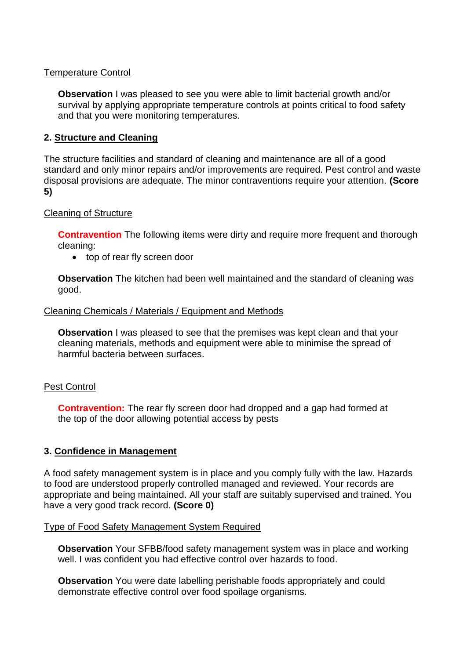### Temperature Control

**Observation** I was pleased to see you were able to limit bacterial growth and/or survival by applying appropriate temperature controls at points critical to food safety and that you were monitoring temperatures.

### **2. Structure and Cleaning**

The structure facilities and standard of cleaning and maintenance are all of a good standard and only minor repairs and/or improvements are required. Pest control and waste disposal provisions are adequate. The minor contraventions require your attention. **(Score 5)**

#### Cleaning of Structure

**Contravention** The following items were dirty and require more frequent and thorough cleaning:

top of rear fly screen door

**Observation** The kitchen had been well maintained and the standard of cleaning was good.

#### Cleaning Chemicals / Materials / Equipment and Methods

**Observation** I was pleased to see that the premises was kept clean and that your cleaning materials, methods and equipment were able to minimise the spread of harmful bacteria between surfaces.

#### Pest Control

**Contravention:** The rear fly screen door had dropped and a gap had formed at the top of the door allowing potential access by pests

### **3. Confidence in Management**

A food safety management system is in place and you comply fully with the law. Hazards to food are understood properly controlled managed and reviewed. Your records are appropriate and being maintained. All your staff are suitably supervised and trained. You have a very good track record. **(Score 0)**

#### Type of Food Safety Management System Required

**Observation** Your SFBB/food safety management system was in place and working well. I was confident you had effective control over hazards to food.

**Observation** You were date labelling perishable foods appropriately and could demonstrate effective control over food spoilage organisms.